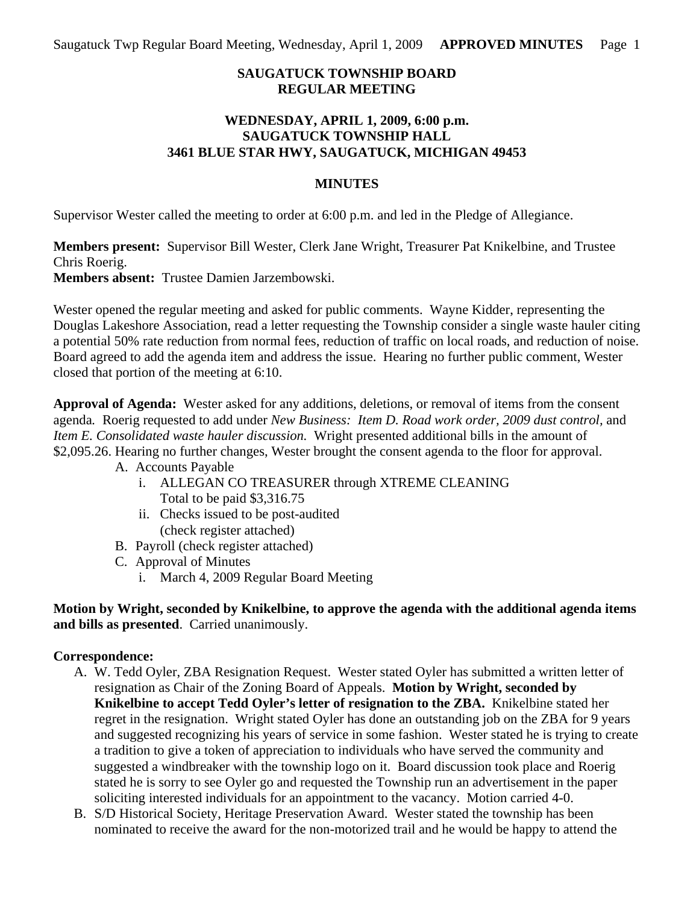# **SAUGATUCK TOWNSHIP BOARD REGULAR MEETING**

## **WEDNESDAY, APRIL 1, 2009, 6:00 p.m. SAUGATUCK TOWNSHIP HALL 3461 BLUE STAR HWY, SAUGATUCK, MICHIGAN 49453**

## **MINUTES**

Supervisor Wester called the meeting to order at 6:00 p.m. and led in the Pledge of Allegiance.

**Members present:** Supervisor Bill Wester, Clerk Jane Wright, Treasurer Pat Knikelbine, and Trustee Chris Roerig. **Members absent:** Trustee Damien Jarzembowski.

Wester opened the regular meeting and asked for public comments. Wayne Kidder, representing the Douglas Lakeshore Association, read a letter requesting the Township consider a single waste hauler citing a potential 50% rate reduction from normal fees, reduction of traffic on local roads, and reduction of noise. Board agreed to add the agenda item and address the issue. Hearing no further public comment, Wester closed that portion of the meeting at 6:10.

**Approval of Agenda:** Wester asked for any additions, deletions, or removal of items from the consent agenda*.* Roerig requested to add under *New Business: Item D. Road work order, 2009 dust control,* and *Item E. Consolidated waste hauler discussion.* Wright presented additional bills in the amount of \$2,095.26. Hearing no further changes, Wester brought the consent agenda to the floor for approval.

- A. Accounts Payable
	- i. ALLEGAN CO TREASURER through XTREME CLEANING Total to be paid \$3,316.75
	- ii. Checks issued to be post-audited (check register attached)
- B. Payroll (check register attached)
- C. Approval of Minutes
	- i. March 4, 2009 Regular Board Meeting

**Motion by Wright, seconded by Knikelbine, to approve the agenda with the additional agenda items and bills as presented**. Carried unanimously.

# **Correspondence:**

- A. W. Tedd Oyler, ZBA Resignation Request. Wester stated Oyler has submitted a written letter of resignation as Chair of the Zoning Board of Appeals. **Motion by Wright, seconded by Knikelbine to accept Tedd Oyler's letter of resignation to the ZBA.** Knikelbine stated her regret in the resignation. Wright stated Oyler has done an outstanding job on the ZBA for 9 years and suggested recognizing his years of service in some fashion. Wester stated he is trying to create a tradition to give a token of appreciation to individuals who have served the community and suggested a windbreaker with the township logo on it. Board discussion took place and Roerig stated he is sorry to see Oyler go and requested the Township run an advertisement in the paper soliciting interested individuals for an appointment to the vacancy. Motion carried 4-0.
- B. S/D Historical Society, Heritage Preservation Award. Wester stated the township has been nominated to receive the award for the non-motorized trail and he would be happy to attend the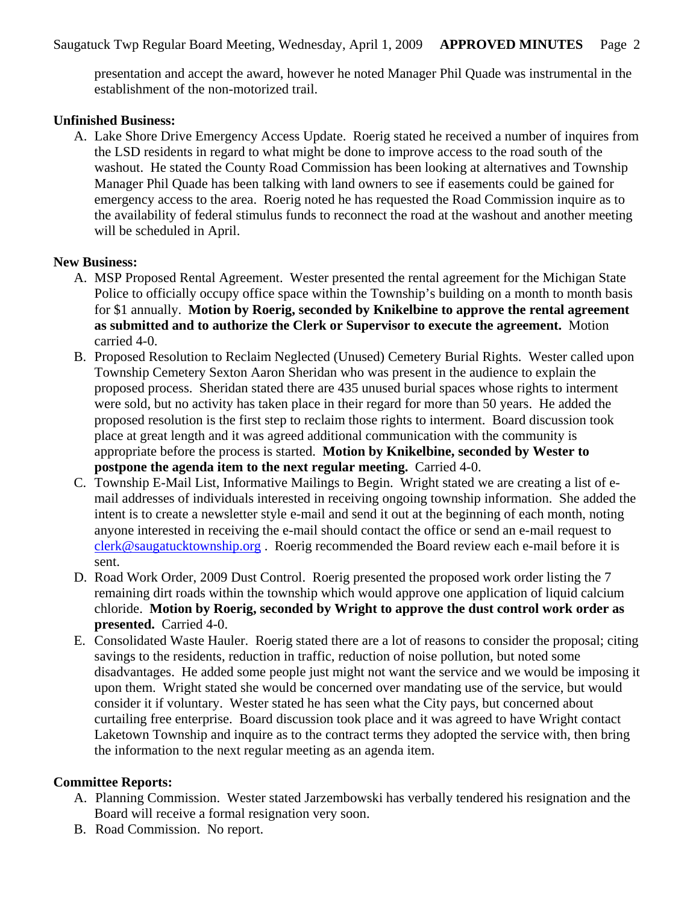presentation and accept the award, however he noted Manager Phil Quade was instrumental in the establishment of the non-motorized trail.

#### **Unfinished Business:**

A. Lake Shore Drive Emergency Access Update. Roerig stated he received a number of inquires from the LSD residents in regard to what might be done to improve access to the road south of the washout. He stated the County Road Commission has been looking at alternatives and Township Manager Phil Quade has been talking with land owners to see if easements could be gained for emergency access to the area. Roerig noted he has requested the Road Commission inquire as to the availability of federal stimulus funds to reconnect the road at the washout and another meeting will be scheduled in April.

#### **New Business:**

- A. MSP Proposed Rental Agreement. Wester presented the rental agreement for the Michigan State Police to officially occupy office space within the Township's building on a month to month basis for \$1 annually. **Motion by Roerig, seconded by Knikelbine to approve the rental agreement as submitted and to authorize the Clerk or Supervisor to execute the agreement.** Motion carried 4-0.
- B. Proposed Resolution to Reclaim Neglected (Unused) Cemetery Burial Rights. Wester called upon Township Cemetery Sexton Aaron Sheridan who was present in the audience to explain the proposed process. Sheridan stated there are 435 unused burial spaces whose rights to interment were sold, but no activity has taken place in their regard for more than 50 years. He added the proposed resolution is the first step to reclaim those rights to interment. Board discussion took place at great length and it was agreed additional communication with the community is appropriate before the process is started. **Motion by Knikelbine, seconded by Wester to postpone the agenda item to the next regular meeting.** Carried 4-0.
- C. Township E-Mail List, Informative Mailings to Begin. Wright stated we are creating a list of email addresses of individuals interested in receiving ongoing township information. She added the intent is to create a newsletter style e-mail and send it out at the beginning of each month, noting anyone interested in receiving the e-mail should contact the office or send an e-mail request to [clerk@saugatucktownship.org](mailto:clerk@saugatucktownship.org) . Roerig recommended the Board review each e-mail before it is sent.
- D. Road Work Order, 2009 Dust Control. Roerig presented the proposed work order listing the 7 remaining dirt roads within the township which would approve one application of liquid calcium chloride. **Motion by Roerig, seconded by Wright to approve the dust control work order as presented.** Carried 4-0.
- E. Consolidated Waste Hauler. Roerig stated there are a lot of reasons to consider the proposal; citing savings to the residents, reduction in traffic, reduction of noise pollution, but noted some disadvantages. He added some people just might not want the service and we would be imposing it upon them. Wright stated she would be concerned over mandating use of the service, but would consider it if voluntary. Wester stated he has seen what the City pays, but concerned about curtailing free enterprise. Board discussion took place and it was agreed to have Wright contact Laketown Township and inquire as to the contract terms they adopted the service with, then bring the information to the next regular meeting as an agenda item.

### **Committee Reports:**

- A. Planning Commission. Wester stated Jarzembowski has verbally tendered his resignation and the Board will receive a formal resignation very soon.
- B. Road Commission. No report.